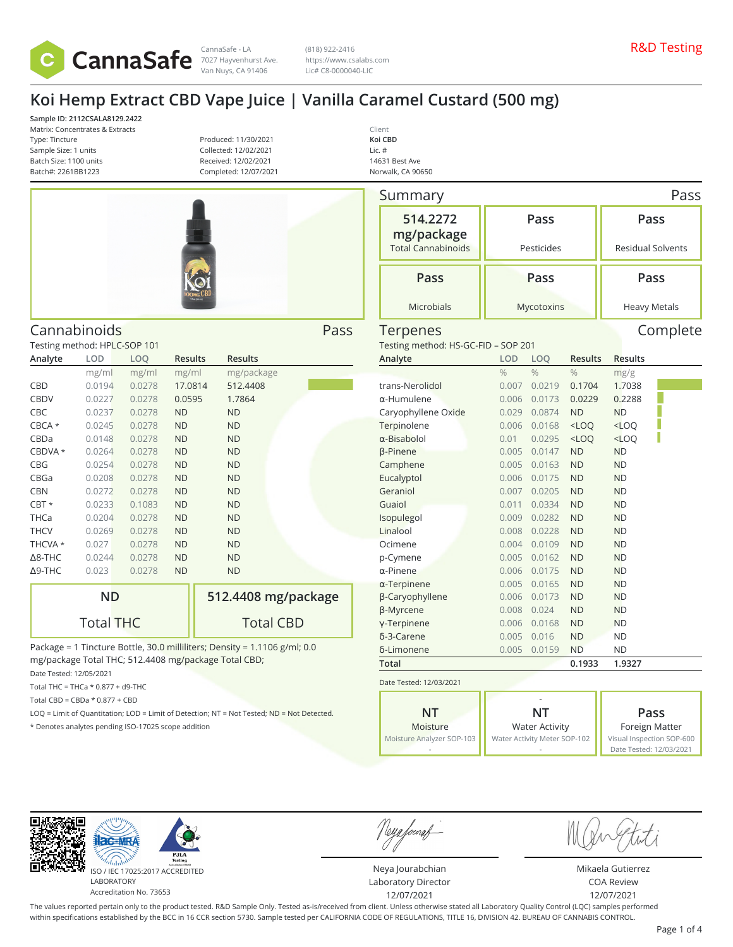

(818) 922-2416 https://www.csalabs.com Lic# C8-0000040-LIC

# **Koi Hemp Extract CBD Vape Juice | Vanilla Caramel Custard (500 mg)**

**Sample ID: 2112CSALA8129.2422** Matrix: Concentrates & Extracts Type: Tincture Sample Size: 1 units Batch Size: 1100 units Batch#: 2261BB1223

Testing method: HPLC-SOP 101

**Analyte LOD LOQ Results Results**

CBD 0.0194 0.0278 17.0814 512.4408 CBDV 0.0227 0.0278 0.0595 1.7864 CBC 0.0237 0.0278 ND ND CBCA \* 0.0245 0.0278 ND ND CBDa 0.0148 0.0278 ND ND CBDVA \* 0.0264 0.0278 ND ND CBG 0.0254 0.0278 ND ND CBGa 0.0208 0.0278 ND ND CBN 0.0272 0.0278 ND ND CBT \* 0.0233 0.1083 ND ND THCa 0.0204 0.0278 ND ND THCV 0.0269 0.0278 ND ND THCVA \* 0.027 0.0278 ND ND Δ8-THC 0.0244 0.0278 ND ND Δ9-THC 0.023 0.0278 ND ND

Produced: 11/30/2021 Collected: 12/02/2021 Received: 12/02/2021 Completed: 12/07/2021



**512.4408 mg/package**

Total CBD

Cannabinoids Pass

mg/ml mg/ml mg/ml mg/package

| Client            |  |
|-------------------|--|
| Koi CBD           |  |
| Lic. #            |  |
| 14631 Best Ave    |  |
| Norwalk, CA 90650 |  |

| Summary                               |               |                                                       |                |                | Pass                                        |  |  |
|---------------------------------------|---------------|-------------------------------------------------------|----------------|----------------|---------------------------------------------|--|--|
| 514.2272<br>mg/package                | Pass          |                                                       |                |                | Pass                                        |  |  |
| <b>Total Cannabinoids</b>             |               | Pesticides                                            |                |                | <b>Residual Solvents</b>                    |  |  |
| Pass                                  |               | Pass                                                  | Pass           |                |                                             |  |  |
| <b>Microbials</b>                     |               | Mycotoxins                                            |                |                | <b>Heavy Metals</b>                         |  |  |
| Terpenes                              |               |                                                       |                |                | Complete                                    |  |  |
| Testing method: HS-GC-FID - SOP 201   |               |                                                       |                |                |                                             |  |  |
| Analyte                               | LOD           | LOQ                                                   | <b>Results</b> | <b>Results</b> |                                             |  |  |
|                                       | $\frac{0}{0}$ | $\frac{0}{0}$                                         | $\frac{0}{6}$  | mg/g           |                                             |  |  |
| trans-Nerolidol                       | 0.007         | 0.0219                                                | 0.1704         | 1.7038         |                                             |  |  |
| α-Humulene                            | 0.006         | 0.0173                                                | 0.0229         | 0.2288         |                                             |  |  |
| Caryophyllene Oxide                   | 0.029         | 0.0874                                                | <b>ND</b>      | <b>ND</b>      |                                             |  |  |
| Terpinolene                           | 0.006         | 0.0168                                                | $<$ LOQ        | $<$ LOQ        |                                             |  |  |
| $\alpha$ -Bisabolol                   | 0.01          | 0.0295                                                | $<$ LOQ        | $<$ LOQ        |                                             |  |  |
| β-Pinene                              | 0.005         | 0.0147                                                | <b>ND</b>      | <b>ND</b>      |                                             |  |  |
| Camphene                              | 0.005         | 0.0163                                                | <b>ND</b>      | <b>ND</b>      |                                             |  |  |
| Eucalyptol                            | 0.006         | 0.0175                                                | <b>ND</b>      | <b>ND</b>      |                                             |  |  |
| Geraniol                              | 0.007         | 0.0205                                                | <b>ND</b>      | <b>ND</b>      |                                             |  |  |
| Guaiol                                | 0.011         | 0.0334                                                | <b>ND</b>      | <b>ND</b>      |                                             |  |  |
| Isopulegol                            | 0.009         | 0.0282                                                | <b>ND</b>      | <b>ND</b>      |                                             |  |  |
| Linalool                              | 0.008         | 0.0228                                                | <b>ND</b>      | <b>ND</b>      |                                             |  |  |
| Ocimene                               | 0.004         | 0.0109                                                | <b>ND</b>      | <b>ND</b>      |                                             |  |  |
| p-Cymene                              | 0.005         | 0.0162                                                | <b>ND</b>      | <b>ND</b>      |                                             |  |  |
| α-Pinene                              | 0.006         | 0.0175                                                | <b>ND</b>      | <b>ND</b>      |                                             |  |  |
| $\alpha$ -Terpinene                   | 0.005         | 0.0165                                                | <b>ND</b>      | <b>ND</b>      |                                             |  |  |
| β-Caryophyllene                       | 0.006         | 0.0173                                                | <b>ND</b>      | <b>ND</b>      |                                             |  |  |
| β-Myrcene                             | 0.008         | 0.024                                                 | <b>ND</b>      | <b>ND</b>      |                                             |  |  |
| y-Terpinene                           | 0.006         | 0.0168                                                | <b>ND</b>      | <b>ND</b>      |                                             |  |  |
| δ-3-Carene                            | 0.005         | 0.016                                                 | <b>ND</b>      | <b>ND</b>      |                                             |  |  |
| δ-Limonene                            | 0.005         | 0.0159                                                | <b>ND</b>      | <b>ND</b>      |                                             |  |  |
| Total                                 |               |                                                       | 0.1933         | 1.9327         |                                             |  |  |
| Date Tested: 12/03/2021               |               |                                                       |                |                |                                             |  |  |
| <b>NT</b>                             |               | <b>NT</b>                                             |                |                |                                             |  |  |
|                                       |               |                                                       |                | Pass           |                                             |  |  |
| Moisture<br>Moisture Analyzer SOP-103 |               | <b>Water Activity</b><br>Water Activity Meter SOP-102 |                |                | Foreign Matter<br>Visual Inspection SOP-600 |  |  |
|                                       |               |                                                       |                |                |                                             |  |  |

-

 $AC-MF$ LABORATORY

**ND**

Total THC

\* Denotes analytes pending ISO-17025 scope addition

Date Tested: 12/05/2021 Total THC = THCa  $*$  0.877 + d9-THC Total CBD =  $CBDa * 0.877 + CBD$ 

Package = 1 Tincture Bottle, 30.0 milliliters; Density = 1.1106 g/ml; 0.0

LOQ = Limit of Quantitation; LOD = Limit of Detection; NT = Not Tested; ND = Not Detected.

mg/package Total THC; 512.4408 mg/package Total CBD;

ISO / IEC 17025:2017 ACCREDITED Accreditation No. 73653

Neya fouraf

-

Neya Jourabchian Laboratory Director 12/07/2021

Date Tested: 12/03/2021

Mikaela Gutierrez COA Review 12/07/2021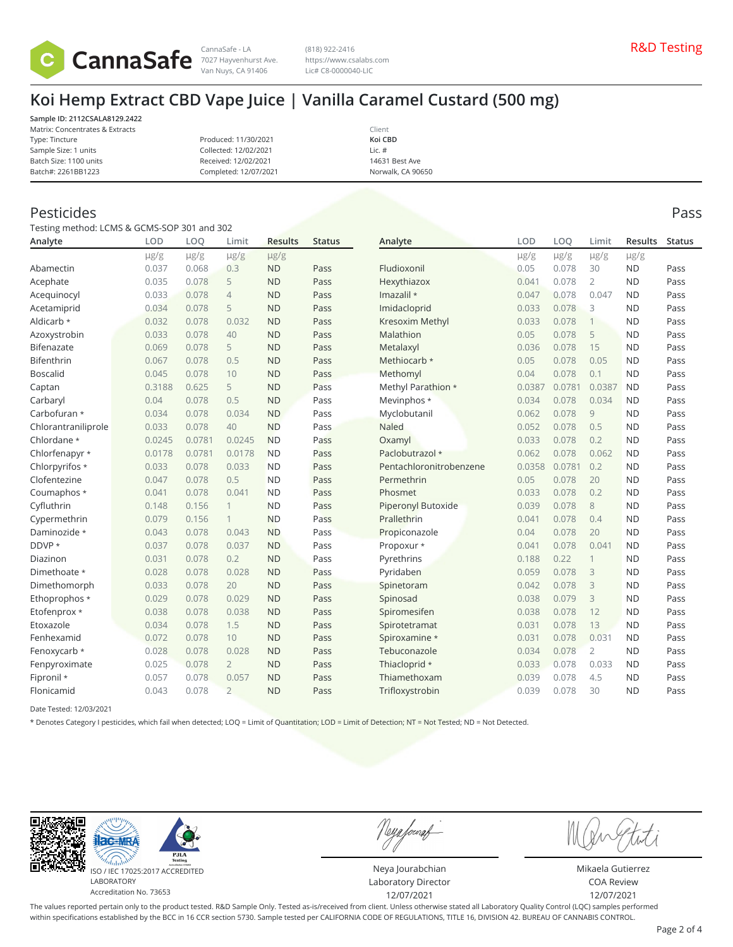

(818) 922-2416 https://www.csalabs.com Lic# C8-0000040-LIC

### **Koi Hemp Extract CBD Vape Juice | Vanilla Caramel Custard (500 mg)**

**Sample ID: 2112CSALA8129.2422** Matrix: Concentrates & Extracts Type: Tincture Sample Size: 1 units Batch Size: 1100 units Batch#: 2261BB1223

Produced: 11/30/2021 Collected: 12/02/2021 Received: 12/02/2021 Completed: 12/07/2021

Client **Koi CBD** Lic. # 14631 Best Ave Norwalk, CA 90650

#### Pesticides Pass

Testing method: LCMS & GCMS-SOP 301 and 302

| Analyte             | <b>LOD</b> | LOQ       | Limit          | <b>Results</b> | <b>Status</b> | Analyte                 | LOD       | LOO       | Limit          | <b>Results</b> | <b>Status</b> |
|---------------------|------------|-----------|----------------|----------------|---------------|-------------------------|-----------|-----------|----------------|----------------|---------------|
|                     | $\mu$ g/g  | $\mu$ g/g | $\mu$ g/g      | $\mu$ g/g      |               |                         | $\mu$ g/g | $\mu$ g/g | $\mu$ g/g      | $\mu$ g/g      |               |
| Abamectin           | 0.037      | 0.068     | 0.3            | <b>ND</b>      | Pass          | Fludioxonil             | 0.05      | 0.078     | 30             | <b>ND</b>      | Pass          |
| Acephate            | 0.035      | 0.078     | 5              | <b>ND</b>      | Pass          | Hexythiazox             | 0.041     | 0.078     | $\overline{2}$ | <b>ND</b>      | Pass          |
| Acequinocyl         | 0.033      | 0.078     | $\overline{4}$ | <b>ND</b>      | Pass          | Imazalil *              | 0.047     | 0.078     | 0.047          | <b>ND</b>      | Pass          |
| Acetamiprid         | 0.034      | 0.078     | 5              | <b>ND</b>      | Pass          | Imidacloprid            | 0.033     | 0.078     | 3              | <b>ND</b>      | Pass          |
| Aldicarb *          | 0.032      | 0.078     | 0.032          | <b>ND</b>      | Pass          | Kresoxim Methyl         | 0.033     | 0.078     | $\mathbf{1}$   | <b>ND</b>      | Pass          |
| Azoxystrobin        | 0.033      | 0.078     | 40             | <b>ND</b>      | Pass          | Malathion               | 0.05      | 0.078     | 5              | <b>ND</b>      | Pass          |
| Bifenazate          | 0.069      | 0.078     | 5              | <b>ND</b>      | Pass          | Metalaxyl               | 0.036     | 0.078     | 15             | <b>ND</b>      | Pass          |
| Bifenthrin          | 0.067      | 0.078     | 0.5            | <b>ND</b>      | Pass          | Methiocarb *            | 0.05      | 0.078     | 0.05           | <b>ND</b>      | Pass          |
| <b>Boscalid</b>     | 0.045      | 0.078     | 10             | <b>ND</b>      | Pass          | Methomyl                | 0.04      | 0.078     | 0.1            | <b>ND</b>      | Pass          |
| Captan              | 0.3188     | 0.625     | 5              | <b>ND</b>      | Pass          | Methyl Parathion *      | 0.0387    | 0.0781    | 0.0387         | <b>ND</b>      | Pass          |
| Carbaryl            | 0.04       | 0.078     | 0.5            | <b>ND</b>      | Pass          | Mevinphos *             | 0.034     | 0.078     | 0.034          | <b>ND</b>      | Pass          |
| Carbofuran *        | 0.034      | 0.078     | 0.034          | <b>ND</b>      | Pass          | Myclobutanil            | 0.062     | 0.078     | 9              | <b>ND</b>      | Pass          |
| Chlorantraniliprole | 0.033      | 0.078     | 40             | <b>ND</b>      | Pass          | <b>Naled</b>            | 0.052     | 0.078     | 0.5            | <b>ND</b>      | Pass          |
| Chlordane *         | 0.0245     | 0.0781    | 0.0245         | <b>ND</b>      | Pass          | Oxamyl                  | 0.033     | 0.078     | 0.2            | <b>ND</b>      | Pass          |
| Chlorfenapyr *      | 0.0178     | 0.0781    | 0.0178         | <b>ND</b>      | Pass          | Paclobutrazol *         | 0.062     | 0.078     | 0.062          | <b>ND</b>      | Pass          |
| Chlorpyrifos *      | 0.033      | 0.078     | 0.033          | <b>ND</b>      | Pass          | Pentachloronitrobenzene | 0.0358    | 0.0781    | 0.2            | <b>ND</b>      | Pass          |
| Clofentezine        | 0.047      | 0.078     | 0.5            | <b>ND</b>      | Pass          | Permethrin              | 0.05      | 0.078     | 20             | <b>ND</b>      | Pass          |
| Coumaphos *         | 0.041      | 0.078     | 0.041          | <b>ND</b>      | Pass          | Phosmet                 | 0.033     | 0.078     | 0.2            | <b>ND</b>      | Pass          |
| Cyfluthrin          | 0.148      | 0.156     | 1              | <b>ND</b>      | Pass          | Piperonyl Butoxide      | 0.039     | 0.078     | 8              | <b>ND</b>      | Pass          |
| Cypermethrin        | 0.079      | 0.156     | $\mathbf{1}$   | <b>ND</b>      | Pass          | Prallethrin             | 0.041     | 0.078     | 0.4            | <b>ND</b>      | Pass          |
| Daminozide *        | 0.043      | 0.078     | 0.043          | <b>ND</b>      | Pass          | Propiconazole           | 0.04      | 0.078     | 20             | <b>ND</b>      | Pass          |
| DDVP *              | 0.037      | 0.078     | 0.037          | <b>ND</b>      | Pass          | Propoxur *              | 0.041     | 0.078     | 0.041          | <b>ND</b>      | Pass          |
| Diazinon            | 0.031      | 0.078     | 0.2            | <b>ND</b>      | Pass          | Pyrethrins              | 0.188     | 0.22      | 1              | <b>ND</b>      | Pass          |
| Dimethoate *        | 0.028      | 0.078     | 0.028          | <b>ND</b>      | Pass          | Pyridaben               | 0.059     | 0.078     | 3              | <b>ND</b>      | Pass          |
| Dimethomorph        | 0.033      | 0.078     | 20             | <b>ND</b>      | Pass          | Spinetoram              | 0.042     | 0.078     | 3              | <b>ND</b>      | Pass          |
| Ethoprophos *       | 0.029      | 0.078     | 0.029          | <b>ND</b>      | Pass          | Spinosad                | 0.038     | 0.079     | 3              | <b>ND</b>      | Pass          |
| Etofenprox *        | 0.038      | 0.078     | 0.038          | <b>ND</b>      | Pass          | Spiromesifen            | 0.038     | 0.078     | 12             | <b>ND</b>      | Pass          |
| Etoxazole           | 0.034      | 0.078     | 1.5            | <b>ND</b>      | Pass          | Spirotetramat           | 0.031     | 0.078     | 13             | <b>ND</b>      | Pass          |
| Fenhexamid          | 0.072      | 0.078     | 10             | <b>ND</b>      | Pass          | Spiroxamine *           | 0.031     | 0.078     | 0.031          | <b>ND</b>      | Pass          |
| Fenoxycarb *        | 0.028      | 0.078     | 0.028          | <b>ND</b>      | Pass          | Tebuconazole            | 0.034     | 0.078     | $\overline{2}$ | <b>ND</b>      | Pass          |
| Fenpyroximate       | 0.025      | 0.078     | $\overline{2}$ | <b>ND</b>      | Pass          | Thiacloprid *           | 0.033     | 0.078     | 0.033          | <b>ND</b>      | Pass          |
| Fipronil *          | 0.057      | 0.078     | 0.057          | <b>ND</b>      | Pass          | Thiamethoxam            | 0.039     | 0.078     | 4.5            | <b>ND</b>      | Pass          |
| Flonicamid          | 0.043      | 0.078     | $\overline{2}$ | <b>ND</b>      | Pass          | Trifloxystrobin         | 0.039     | 0.078     | 30             | <b>ND</b>      | Pass          |

Date Tested: 12/03/2021

\* Denotes Category I pesticides, which fail when detected; LOQ = Limit of Quantitation; LOD = Limit of Detection; NT = Not Tested; ND = Not Detected.



Accreditation No. 73653

Neya fouraf

Neya Jourabchian Laboratory Director 12/07/2021

Mikaela Gutierrez

COA Review 12/07/2021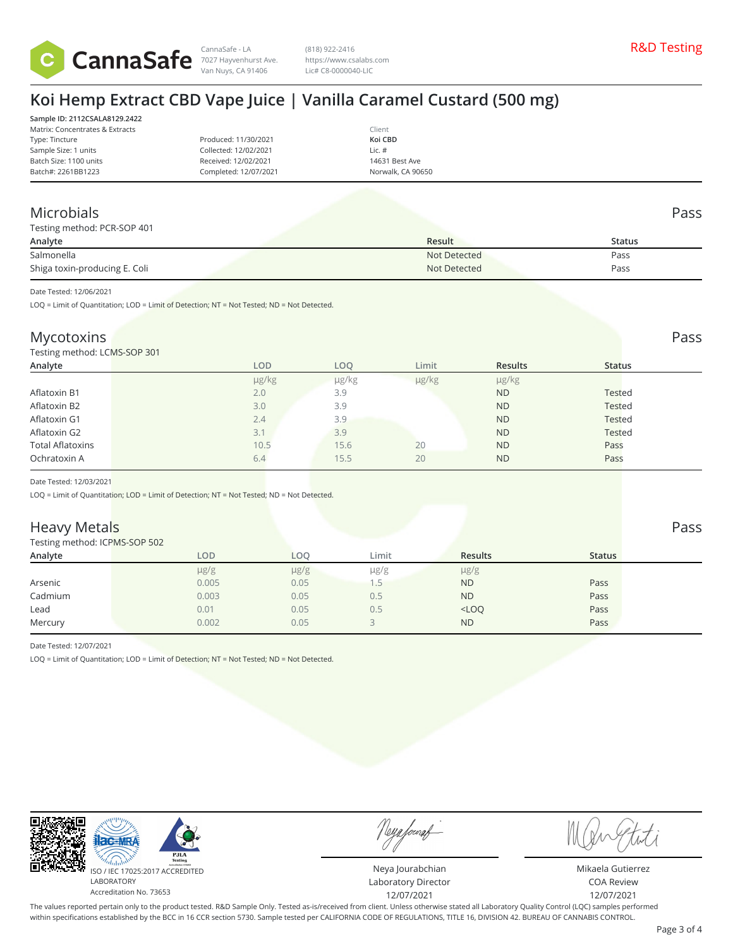

CannaSafe - LA R&D Testing 7027 Hayvenhurst Ave. (818) 922-2416 https://www.csalabs.com Lic# C8-0000040-LIC

## **Koi Hemp Extract CBD Vape Juice | Vanilla Caramel Custard (500 mg)**

|                       | Client            |
|-----------------------|-------------------|
| Produced: 11/30/2021  | Koi CBD           |
| Collected: 12/02/2021 | Lic. $#$          |
| Received: 12/02/2021  | 14631 Best Ave    |
| Completed: 12/07/2021 | Norwalk, CA 90650 |
|                       |                   |

#### Microbials Pass

| Testing method: PCR-SOP 401   |              |        |
|-------------------------------|--------------|--------|
| Analyte                       | Result       | Status |
| Salmonella                    | Not Detected | Pass   |
| Shiga toxin-producing E. Coli | Not Detected | Pass   |

Date Tested: 12/06/2021

LOQ = Limit of Quantitation; LOD = Limit of Detection; NT = Not Tested; ND = Not Detected.

#### Mycotoxins Pass **Pass** Pass **Pass** Pass **Pass** Pass **Pass Pass Pass Pass Pass Pass**

Testing method: LCMS-SOP 301

| Analyte                 |     | <b>LOD</b> | LOQ   | Limit | <b>Results</b> | <b>Status</b> |
|-------------------------|-----|------------|-------|-------|----------------|---------------|
|                         |     | µg/kg      | µg/kg | µg/kg | µg/kg          |               |
| Aflatoxin B1            | 2.0 |            | 3.9   |       | <b>ND</b>      | <b>Tested</b> |
| Aflatoxin B2            | 3.0 |            | 3.9   |       | <b>ND</b>      | <b>Tested</b> |
| Aflatoxin G1            | 2.4 |            | 3.9   |       | <b>ND</b>      | Tested        |
| Aflatoxin G2            | 3.1 |            | 3.9   |       | <b>ND</b>      | <b>Tested</b> |
| <b>Total Aflatoxins</b> |     | 10.5       | 15.6  | 20    | <b>ND</b>      | Pass          |
| Ochratoxin A            | 6.4 |            | 15.5  | 20    | <b>ND</b>      | Pass          |

Date Tested: 12/03/2021

LOQ = Limit of Quantitation; LOD = Limit of Detection; NT = Not Tested; ND = Not Detected.

#### **Heavy Metals** Pass Pass **Pass**

Testing method: ICPMS-SOP 502

| <b>ICSUITE INCURRENT INTO-SOLL</b> |           |            |           |                |               |  |
|------------------------------------|-----------|------------|-----------|----------------|---------------|--|
| Analyte                            | LOD       | <b>LOO</b> | Limit     | <b>Results</b> | <b>Status</b> |  |
|                                    | $\mu$ g/g | $\mu$ g/g  | $\mu$ g/g | $\mu$ g/g      |               |  |
| Arsenic                            | 0.005     | 0.05       |           | <b>ND</b>      | Pass          |  |
| Cadmium                            | 0.003     | 0.05       | 0.5       | <b>ND</b>      | Pass          |  |
| Lead                               | 0.01      | 0.05       | 0.5       | $<$ LOQ        | Pass          |  |
| Mercury                            | 0.002     | 0.05       |           | <b>ND</b>      | Pass          |  |
|                                    |           |            |           |                |               |  |

Date Tested: 12/07/2021

LOQ = Limit of Quantitation; LOD = Limit of Detection; NT = Not Tested; ND = Not Detected.



Neya fouraf

Neya Jourabchian Laboratory Director 12/07/2021

Mikaela Gutierrez COA Review 12/07/2021